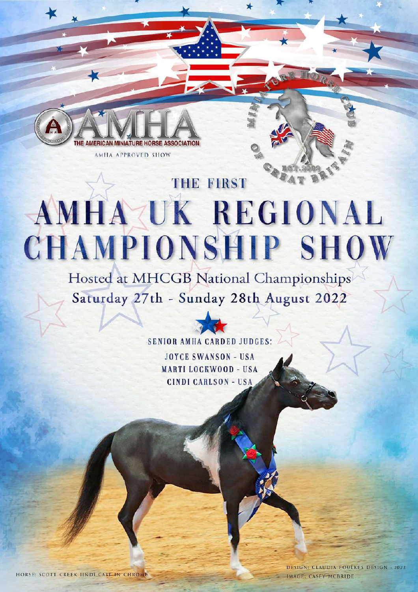

AMHA APPROVED SHOW

# THE FIRST AMHAZUK REGIONAL **CHAMPIONSHIP SHOW**

Hosted at MHCGB National Championships Saturday 27th - Sunday 28th August 2022

#### **SENIOR AMHA CARDED JUDGES: JOYCE SWANSON - USA MARTI LOCKWOOD - USA CINDI CARLSON - USA**

HORSE: SCOTT CREEK IINDI CAST IN CHROME

DESIGN: CLAUDIA FOULKES DESIGN - 2022 IMAGE: CASEY MCBRIDE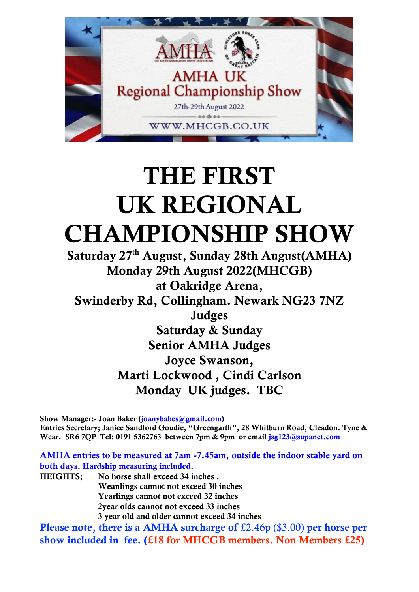

## THE FIRST UK REGIONAL CHAMPIONSHIP SHOW

Saturday 27th August, Sunday 28th August(AMHA) Monday 29th August 2022(MHCGB) at Oakridge Arena, Swinderby Rd, Collingham. Newark NG23 7NZ Judges Saturday & Sunday Senior AMHA Judges Joyce Swanson, Marti Lockwood , Cindi Carlson Monday UK judges. TBC

Show Manager:- Joan Baker [\(joanybabes@gmail.com\)](mailto:joanybabes@gmail.com) Entries Secretary; Janice Sandford Goudie, "Greengarth", 28 Whitburn Road, Cleadon. Tyne & Wear. SR6 7QP Tel: 0191 5362763 between 7pm & 9pm or email [jsg123@supanet.com](mailto:jsg123@supanet.com)

AMHA entries to be measured at 7am -7.45am, outside the indoor stable yard on both days. Hardship measuring included.

HEIGHTS; No horse shall exceed 34 inches . Weanlings cannot not exceed 30 inches Yearlings cannot not exceed 32 inches 2year olds cannot not exceed 33 inches 3 year old and older cannot exceed 34 inches

Please note, there is a AMHA surcharge of £2.46p (\$3.00) per horse per show included in fee. (£18 for MHCGB members. Non Members £25)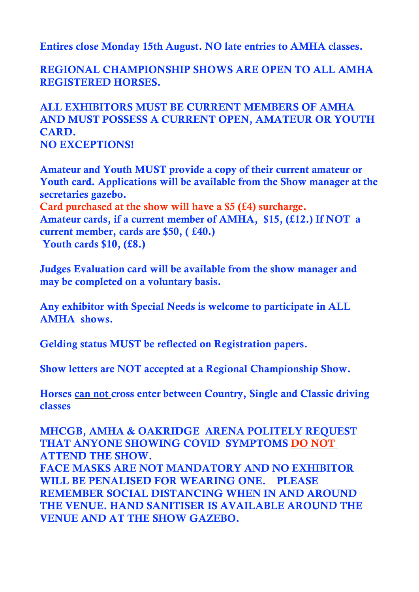Entires close Monday 15th August. NO late entries to AMHA classes.

REGIONAL CHAMPIONSHIP SHOWS ARE OPEN TO ALL AMHA REGISTERED HORSES.

ALL EXHIBITORS MUST BE CURRENT MEMBERS OF AMHA AND MUST POSSESS A CURRENT OPEN, AMATEUR OR YOUTH CARD. NO EXCEPTIONS!

Amateur and Youth MUST provide a copy of their current amateur or Youth card. Applications will be available from the Show manager at the secretaries gazebo. Card purchased at the show will have a \$5 (£4) surcharge. Amateur cards, if a current member of AMHA, \$15, (£12.) If NOT a current member, cards are \$50, ( £40.) Youth cards \$10, (£8.)

Judges Evaluation card will be available from the show manager and may be completed on a voluntary basis.

Any exhibitor with Special Needs is welcome to participate in ALL AMHA shows.

Gelding status MUST be reflected on Registration papers.

Show letters are NOT accepted at a Regional Championship Show.

Horses can not cross enter between Country, Single and Classic driving classes

MHCGB, AMHA & OAKRIDGE ARENA POLITELY REQUEST THAT ANYONE SHOWING COVID SYMPTOMS DO NOT ATTEND THE SHOW. FACE MASKS ARE NOT MANDATORY AND NO EXHIBITOR WILL BE PENALISED FOR WEARING ONE. PLEASE REMEMBER SOCIAL DISTANCING WHEN IN AND AROUND THE VENUE. HAND SANITISER IS AVAILABLE AROUND THE VENUE AND AT THE SHOW GAZEBO.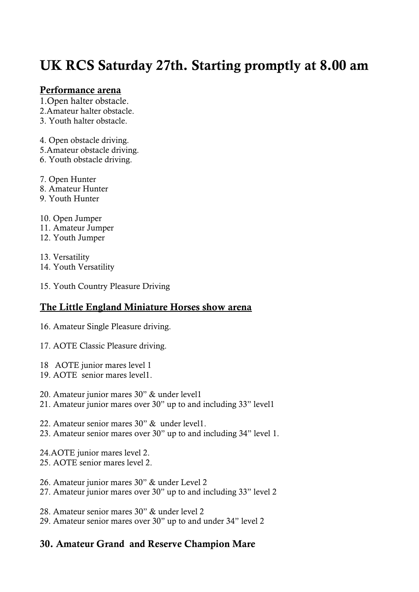## UK RCS Saturday 27th. Starting promptly at 8.00 am

#### Performance arena

1.Open halter obstacle.

- 2.Amateur halter obstacle.
- 3. Youth halter obstacle.
- 4. Open obstacle driving.
- 5.Amateur obstacle driving.
- 6. Youth obstacle driving.
- 7. Open Hunter
- 8. Amateur Hunter
- 9. Youth Hunter

10. Open Jumper

- 11. Amateur Jumper
- 12. Youth Jumper

13. Versatility 14. Youth Versatility

15. Youth Country Pleasure Driving

#### The Little England Miniature Horses show arena

- 16. Amateur Single Pleasure driving.
- 17. AOTE Classic Pleasure driving.
- 18 AOTE junior mares level 1
- 19. AOTE senior mares level1.
- 20. Amateur junior mares 30" & under level1
- 21. Amateur junior mares over 30" up to and including 33" level1
- 22. Amateur senior mares 30" & under level1.
- 23. Amateur senior mares over 30" up to and including 34" level 1.
- 24.AOTE junior mares level 2. 25. AOTE senior mares level 2.
- 26. Amateur junior mares 30" & under Level 2
- 27. Amateur junior mares over 30" up to and including 33" level 2
- 28. Amateur senior mares 30" & under level 2
- 29. Amateur senior mares over 30" up to and under 34" level 2

#### 30. Amateur Grand and Reserve Champion Mare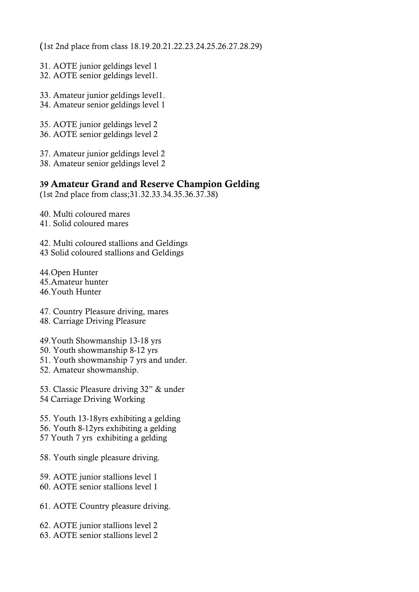(1st 2nd place from class 18.19.20.21.22.23.24.25.26.27.28.29)

- 31. AOTE junior geldings level 1
- 32. AOTE senior geldings level1.
- 33. Amateur junior geldings level1.
- 34. Amateur senior geldings level 1
- 35. AOTE junior geldings level 2
- 36. AOTE senior geldings level 2
- 37. Amateur junior geldings level 2
- 38. Amateur senior geldings level 2

#### 39 Amateur Grand and Reserve Champion Gelding

(1st 2nd place from class;31.32.33.34.35.36.37.38)

- 40. Multi coloured mares
- 41. Solid coloured mares
- 42. Multi coloured stallions and Geldings 43 Solid coloured stallions and Geldings
- 44.Open Hunter 45.Amateur hunter 46.Youth Hunter
- 47. Country Pleasure driving, mares
- 48. Carriage Driving Pleasure
- 49.Youth Showmanship 13-18 yrs
- 50. Youth showmanship 8-12 yrs
- 51. Youth showmanship 7 yrs and under.
- 52. Amateur showmanship.

53. Classic Pleasure driving 32" & under 54 Carriage Driving Working

- 55. Youth 13-18yrs exhibiting a gelding 56. Youth 8-12yrs exhibiting a gelding 57 Youth 7 yrs exhibiting a gelding
- 58. Youth single pleasure driving.
- 59. AOTE junior stallions level 1
- 60. AOTE senior stallions level 1
- 61. AOTE Country pleasure driving.
- 62. AOTE junior stallions level 2
- 63. AOTE senior stallions level 2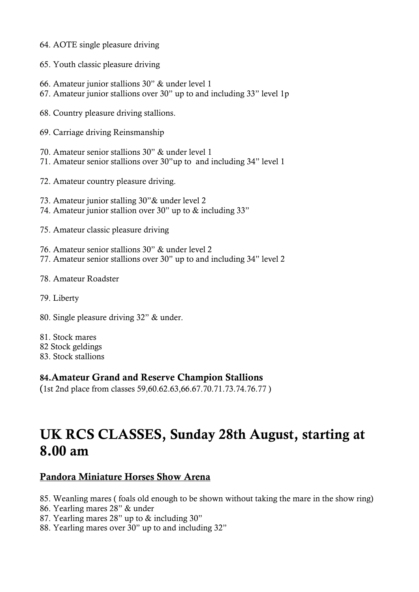- 64. AOTE single pleasure driving
- 65. Youth classic pleasure driving
- 66. Amateur junior stallions 30" & under level 1
- 67. Amateur junior stallions over 30" up to and including 33" level 1p
- 68. Country pleasure driving stallions.
- 69. Carriage driving Reinsmanship
- 70. Amateur senior stallions 30" & under level 1
- 71. Amateur senior stallions over 30"up to and including 34" level 1
- 72. Amateur country pleasure driving.
- 73. Amateur junior stalling 30"& under level 2
- 74. Amateur junior stallion over 30" up to & including 33"
- 75. Amateur classic pleasure driving
- 76. Amateur senior stallions 30" & under level 2 77. Amateur senior stallions over 30" up to and including 34" level 2
- 78. Amateur Roadster
- 79. Liberty
- 80. Single pleasure driving 32" & under.
- 81. Stock mares
- 82 Stock geldings
- 83. Stock stallions

#### 84.Amateur Grand and Reserve Champion Stallions

(1st 2nd place from classes 59,60.62.63,66.67.70.71.73.74.76.77 )

### UK RCS CLASSES, Sunday 28th August, starting at 8.00 am

#### Pandora Miniature Horses Show Arena

85. Weanling mares ( foals old enough to be shown without taking the mare in the show ring)

- 86. Yearling mares 28" & under
- 87. Yearling mares 28" up to & including 30"
- 88. Yearling mares over 30" up to and including 32"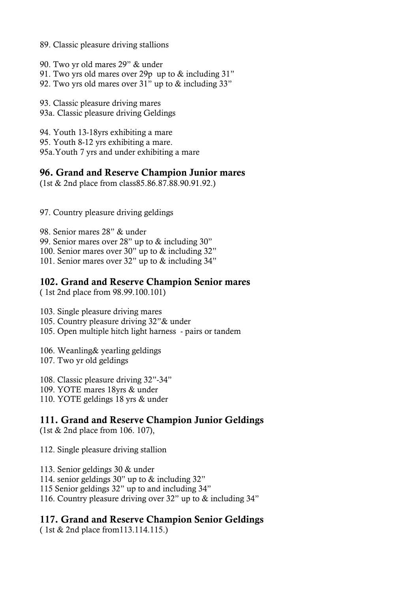- 89. Classic pleasure driving stallions
- 90. Two yr old mares 29" & under
- 91. Two yrs old mares over 29p up to & including 31"
- 92. Two yrs old mares over 31" up to & including 33"

93. Classic pleasure driving mares 93a. Classic pleasure driving Geldings

94. Youth 13-18yrs exhibiting a mare

- 95. Youth 8-12 yrs exhibiting a mare.
- 95a.Youth 7 yrs and under exhibiting a mare

#### 96. Grand and Reserve Champion Junior mares

(1st & 2nd place from class85.86.87.88.90.91.92.)

97. Country pleasure driving geldings

98. Senior mares 28" & under

99. Senior mares over 28" up to & including 30"

100. Senior mares over 30" up to & including 32"

101. Senior mares over 32" up to & including 34"

#### 102. Grand and Reserve Champion Senior mares

( 1st 2nd place from 98.99.100.101)

103. Single pleasure driving mares

105. Country pleasure driving 32"& under

105. Open multiple hitch light harness - pairs or tandem

106. Weanling& yearling geldings

107. Two yr old geldings

108. Classic pleasure driving 32"-34"

109. YOTE mares 18yrs & under

110. YOTE geldings 18 yrs & under

#### 111. Grand and Reserve Champion Junior Geldings

(1st & 2nd place from 106. 107),

112. Single pleasure driving stallion

- 113. Senior geldings 30 & under
- 114. senior geldings 30" up to & including 32"

115 Senior geldings 32" up to and including 34"

116. Country pleasure driving over 32" up to & including 34"

#### 117. Grand and Reserve Champion Senior Geldings

( 1st & 2nd place from113.114.115.)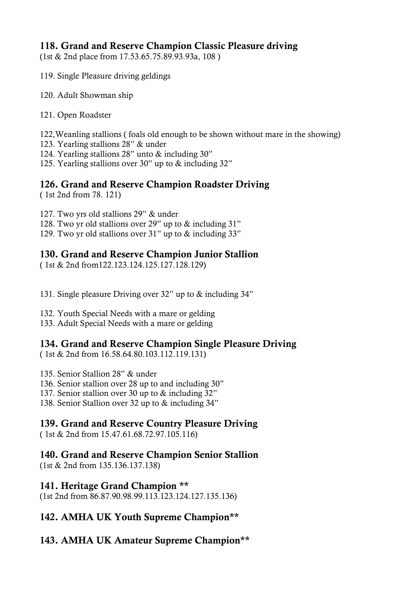#### 118. Grand and Reserve Champion Classic Pleasure driving

(1st & 2nd place from 17.53.65.75.89.93.93a, 108 )

- 119. Single Pleasure driving geldings
- 120. Adult Showman ship
- 121. Open Roadster
- 122,Weanling stallions ( foals old enough to be shown without mare in the showing)
- 123. Yearling stallions 28" & under
- 124. Yearling stallions 28" unto & including 30"
- 125. Yearling stallions over 30" up to & including 32"

#### 126. Grand and Reserve Champion Roadster Driving

( 1st 2nd from 78. 121)

127. Two yrs old stallions 29" & under

- 128. Two yr old stallions over 29" up to & including 31"
- 129. Two yr old stallions over 31" up to & including 33"

#### 130. Grand and Reserve Champion Junior Stallion

( 1st & 2nd from122.123.124.125.127.128.129)

131. Single pleasure Driving over 32" up to & including 34"

- 132. Youth Special Needs with a mare or gelding
- 133. Adult Special Needs with a mare or gelding

#### 134. Grand and Reserve Champion Single Pleasure Driving

( 1st & 2nd from 16.58.64.80.103.112.119.131)

135. Senior Stallion 28" & under

- 136. Senior stallion over 28 up to and including 30"
- 137. Senior stallion over 30 up to & including 32"
- 138. Senior Stallion over 32 up to & including 34"

#### 139. Grand and Reserve Country Pleasure Driving

( 1st & 2nd from 15.47.61.68.72.97.105.116)

#### 140. Grand and Reserve Champion Senior Stallion

(1st & 2nd from 135.136.137.138)

#### 141. Heritage Grand Champion \*\*

(1st 2nd from 86.87.90.98.99.113.123.124.127.135.136)

#### 142. AMHA UK Youth Supreme Champion\*\*

#### 143. AMHA UK Amateur Supreme Champion\*\*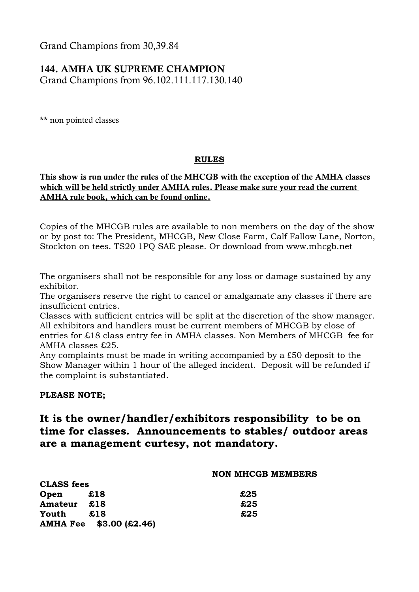Grand Champions from 30,39.84

#### 144. AMHA UK SUPREME CHAMPION

Grand Champions from 96.102.111.117.130.140

\*\* non pointed classes

#### **RULES**

#### This show is run under the rules of the MHCGB with the exception of the AMHA classes which will be held strictly under AMHA rules. Please make sure your read the current AMHA rule book, which can be found online.

Copies of the MHCGB rules are available to non members on the day of the show or by post to: The President, MHCGB, New Close Farm, Calf Fallow Lane, Norton, Stockton on tees. TS20 1PQ SAE please. Or download from www.mhcgb.net

The organisers shall not be responsible for any loss or damage sustained by any exhibitor.

The organisers reserve the right to cancel or amalgamate any classes if there are insufficient entries.

Classes with sufficient entries will be split at the discretion of the show manager. All exhibitors and handlers must be current members of MHCGB by close of entries for £18 class entry fee in AMHA classes. Non Members of MHCGB fee for AMHA classes £25.

Any complaints must be made in writing accompanied by a £50 deposit to the Show Manager within 1 hour of the alleged incident. Deposit will be refunded if the complaint is substantiated.

#### **PLEASE NOTE;**

**CLASS fees** 

#### **It is the owner/handler/exhibitors responsibility to be on time for classes. Announcements to stables/ outdoor areas are a management curtesy, not mandatory.**

#### **NON MHCGB MEMBERS**

| CLADO ICCS |                         |     |
|------------|-------------------------|-----|
| Open       | £18                     | £25 |
| Amateur    | £18                     | £25 |
| Youth      | £18                     | £25 |
|            | AMHA Fee \$3.00 (£2.46) |     |